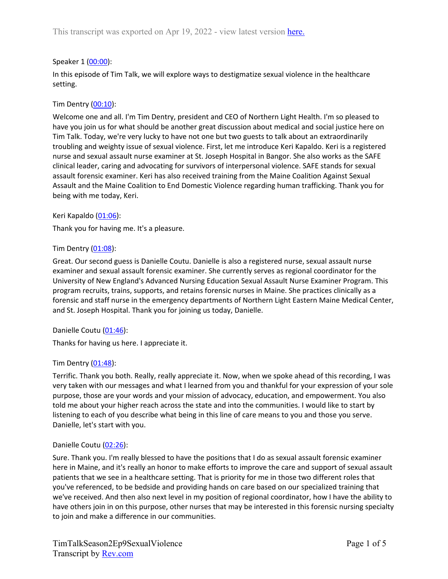# Speaker 1 ([00:00](https://www.rev.com/transcript-editor/Edit?token=wJWqA46xkBQQyO9uqohnPRMbjr2xS73Ak0VTJIVrPrj4HU94ZREuFdxFTP-AdUkigQhqt5MrIguRlL6F_IdKycEknog&loadFrom=DocumentDeeplink&ts=0.22)):

In this episode of Tim Talk, we will explore ways to destigmatize sexual violence in the healthcare setting.

# Tim Dentry  $(00:10)$  $(00:10)$ :

Welcome one and all. I'm Tim Dentry, president and CEO of Northern Light Health. I'm so pleased to have you join us for what should be another great discussion about medical and social justice here on Tim Talk. Today, we're very lucky to have not one but two guests to talk about an extraordinarily troubling and weighty issue of sexual violence. First, let me introduce Keri Kapaldo. Keri is a registered nurse and sexual assault nurse examiner at St. Joseph Hospital in Bangor. She also works as the SAFE clinical leader, caring and advocating for survivors of interpersonal violence. SAFE stands for sexual assault forensic examiner. Keri has also received training from the Maine Coalition Against Sexual Assault and the Maine Coalition to End Domestic Violence regarding human trafficking. Thank you for being with me today, Keri.

## Keri Kapaldo ([01:06](https://www.rev.com/transcript-editor/Edit?token=0pWwIckcRmDb539WwqXqTjdx7yvEIE_Cn22aPwsiFaLfCtuwAEwRzkiqiTuLOZ0Y4d7x6AVS-wDTOlXmwt5Mz83ZtP0&loadFrom=DocumentDeeplink&ts=66.19)):

Thank you for having me. It's a pleasure.

## Tim Dentry ([01:08\)](https://www.rev.com/transcript-editor/Edit?token=TidQQqonuZh-tTe1r0fW2OqEHMBGkaLx6KIBEOyVpntQ_WQjbKc87szqy1NFcHx-LCVMaXVNg537k1MLIFEkLaz2tbc&loadFrom=DocumentDeeplink&ts=68.25):

Great. Our second guess is Danielle Coutu. Danielle is also a registered nurse, sexual assault nurse examiner and sexual assault forensic examiner. She currently serves as regional coordinator for the University of New England's Advanced Nursing Education Sexual Assault Nurse Examiner Program. This program recruits, trains, supports, and retains forensic nurses in Maine. She practices clinically as a forensic and staff nurse in the emergency departments of Northern Light Eastern Maine Medical Center, and St. Joseph Hospital. Thank you for joining us today, Danielle.

## Danielle Coutu ([01:46\)](https://www.rev.com/transcript-editor/Edit?token=Z0TtOAGMa1zRlKMChH4C61PozdAQAjoZtvNUnSbqX4LjUdMMdJPHhVjPRqT0SbWJdjcbsLi3XJzy7i3LN7kV5QxsoFg&loadFrom=DocumentDeeplink&ts=106.6):

Thanks for having us here. I appreciate it.

## Tim Dentry  $(01:48)$  $(01:48)$ :

Terrific. Thank you both. Really, really appreciate it. Now, when we spoke ahead of this recording, I was very taken with our messages and what I learned from you and thankful for your expression of your sole purpose, those are your words and your mission of advocacy, education, and empowerment. You also told me about your higher reach across the state and into the communities. I would like to start by listening to each of you describe what being in this line of care means to you and those you serve. Danielle, let's start with you.

## Danielle Coutu ([02:26\)](https://www.rev.com/transcript-editor/Edit?token=i6I0NXj12FNkd8shhlNr6NnsFut6k9quAnyOE12ZYDUbAbCMKbiuruLLwmThQ8ohjm4nRjWP-5mmEn7fNUheuONvYdU&loadFrom=DocumentDeeplink&ts=146.52):

Sure. Thank you. I'm really blessed to have the positions that I do as sexual assault forensic examiner here in Maine, and it's really an honor to make efforts to improve the care and support of sexual assault patients that we see in a healthcare setting. That is priority for me in those two different roles that you've referenced, to be bedside and providing hands on care based on our specialized training that we've received. And then also next level in my position of regional coordinator, how I have the ability to have others join in on this purpose, other nurses that may be interested in this forensic nursing specialty to join and make a difference in our communities.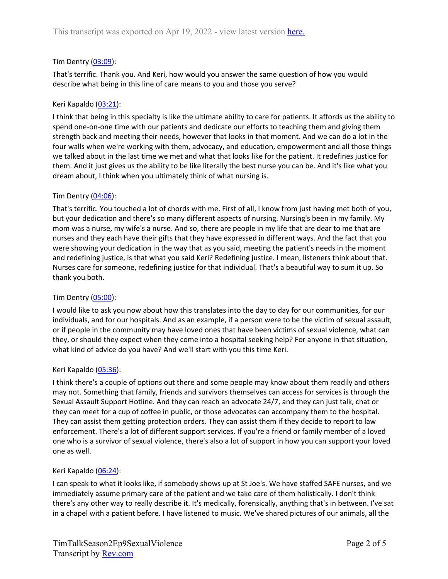# Tim Dentry ([03:09\)](https://www.rev.com/transcript-editor/Edit?token=STgJdWGE0J9NPE2PxubLRkIsTswQoLqk62gACSstNxehX52jNXBx0QRSzDe9lkT3NEW04imGsIJu5TdiQg7Gps1101s&loadFrom=DocumentDeeplink&ts=189.24):

That's terrific. Thank you. And Keri, how would you answer the same question of how you would describe what being in this line of care means to you and those you serve?

# Keri Kapaldo ([03:21](https://www.rev.com/transcript-editor/Edit?token=pdl-xsGYKvOtAIA64iWpfKH4goLrSAt1slWt2hgqwdPp7Oq2cnXAA0SGH9Yw9FIJS3EfCkWK8xRCD4LUHJv42ZS_0ws&loadFrom=DocumentDeeplink&ts=201.56)):

I think that being in this specialty is like the ultimate ability to care for patients. It affords us the ability to spend one-on-one time with our patients and dedicate our efforts to teaching them and giving them strength back and meeting their needs, however that looks in that moment. And we can do a lot in the four walls when we're working with them, advocacy, and education, empowerment and all those things we talked about in the last time we met and what that looks like for the patient. It redefines justice for them. And it just gives us the ability to be like literally the best nurse you can be. And it's like what you dream about, I think when you ultimately think of what nursing is.

# Tim Dentry ([04:06\)](https://www.rev.com/transcript-editor/Edit?token=2CJ6Lv10HObNMTwB9wyP93_rTTRW2X_sTw1ECzq06SeNICteY7s1qi_YqENcVZtNGgG4y4xc0bUKg_DFkZ11ky7-DXc&loadFrom=DocumentDeeplink&ts=246.54):

That's terrific. You touched a lot of chords with me. First of all, I know from just having met both of you, but your dedication and there's so many different aspects of nursing. Nursing's been in my family. My mom was a nurse, my wife's a nurse. And so, there are people in my life that are dear to me that are nurses and they each have their gifts that they have expressed in different ways. And the fact that you were showing your dedication in the way that as you said, meeting the patient's needs in the moment and redefining justice, is that what you said Keri? Redefining justice. I mean, listeners think about that. Nurses care for someone, redefining justice for that individual. That's a beautiful way to sum it up. So thank you both.

## Tim Dentry ([05:00\)](https://www.rev.com/transcript-editor/Edit?token=xvQQjYeWS_PN3edGLGOpFnhoqleAwFUHAHKVokGyC2A2UqnRnnoNLkcnvtWTbx7bSMSPCwAMVglxiwMk2WRqNEkPLpA&loadFrom=DocumentDeeplink&ts=300.65):

I would like to ask you now about how this translates into the day to day for our communities, for our individuals, and for our hospitals. And as an example, if a person were to be the victim of sexual assault, or if people in the community may have loved ones that have been victims of sexual violence, what can they, or should they expect when they come into a hospital seeking help? For anyone in that situation, what kind of advice do you have? And we'll start with you this time Keri.

## Keri Kapaldo ([05:36](https://www.rev.com/transcript-editor/Edit?token=AHV9aRqDqsMP6kE7Ae07M-ymcW3pKg68iIFNTdLDbarYHcdv8gDgU_Xbc6JO-uWV09GJDh8lPy4CjVbFZifbRPNVK-s&loadFrom=DocumentDeeplink&ts=336.2)):

I think there's a couple of options out there and some people may know about them readily and others may not. Something that family, friends and survivors themselves can access for services is through the Sexual Assault Support Hotline. And they can reach an advocate 24/7, and they can just talk, chat or they can meet for a cup of coffee in public, or those advocates can accompany them to the hospital. They can assist them getting protection orders. They can assist them if they decide to report to law enforcement. There's a lot of different support services. If you're a friend or family member of a loved one who is a survivor of sexual violence, there's also a lot of support in how you can support your loved one as well.

## Keri Kapaldo ([06:24](https://www.rev.com/transcript-editor/Edit?token=ZEf9ANwQPGzR_iWvTP4kOUTkxI5ejLRQPvuqhaMzBD5b6poWV-BTK7TUJE-Rd6Qk-BsBw3gSrd8Vy7kQA3MRcbVpP0M&loadFrom=DocumentDeeplink&ts=384.15)):

I can speak to what it looks like, if somebody shows up at St Joe's. We have staffed SAFE nurses, and we immediately assume primary care of the patient and we take care of them holistically. I don't think there's any other way to really describe it. It's medically, forensically, anything that's in between. I've sat in a chapel with a patient before. I have listened to music. We've shared pictures of our animals, all the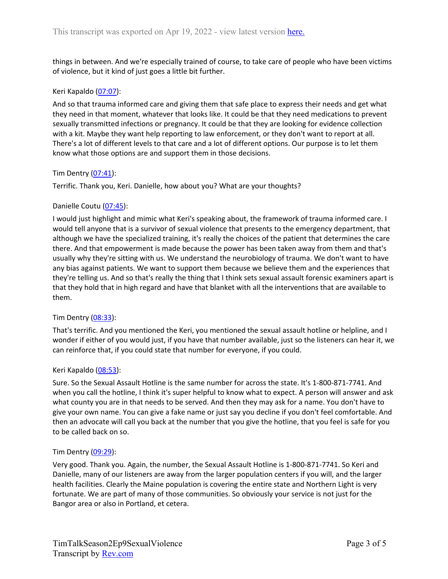things in between. And we're especially trained of course, to take care of people who have been victims of violence, but it kind of just goes a little bit further.

## Keri Kapaldo ([07:07](https://www.rev.com/transcript-editor/Edit?token=qrnwQ-Zc9iaMlVCNVmfnuUP503bijxZ6h9W0tXtbAVCBXydHYpBG1xh9fp_ord8Vpq6bh-ni8EcArTo1j5Rb7b7V6LU&loadFrom=DocumentDeeplink&ts=427.64)):

And so that trauma informed care and giving them that safe place to express their needs and get what they need in that moment, whatever that looks like. It could be that they need medications to prevent sexually transmitted infections or pregnancy. It could be that they are looking for evidence collection with a kit. Maybe they want help reporting to law enforcement, or they don't want to report at all. There's a lot of different levels to that care and a lot of different options. Our purpose is to let them know what those options are and support them in those decisions.

#### Tim Dentry ([07:41\)](https://www.rev.com/transcript-editor/Edit?token=nDWR0fcMgraUmFy2J81SJpqm5-QNNH7xNK6Dokt78ZVr7hKSayF4ZNz4ZMK-2ie99Ey5sKSJrAUNh1WE7bkKJ65y9Oo&loadFrom=DocumentDeeplink&ts=461.16):

Terrific. Thank you, Keri. Danielle, how about you? What are your thoughts?

#### Danielle Coutu ([07:45\)](https://www.rev.com/transcript-editor/Edit?token=yKDtGXMwnr3cC_rAYy4EcVPBaXQYSM-W9HFfnlL5_fcx5jBEC_qNgGdEvvvaQK1_Ola9A4aBOosgX3CkKVO7ts1qGq8&loadFrom=DocumentDeeplink&ts=465.3):

I would just highlight and mimic what Keri's speaking about, the framework of trauma informed care. I would tell anyone that is a survivor of sexual violence that presents to the emergency department, that although we have the specialized training, it's really the choices of the patient that determines the care there. And that empowerment is made because the power has been taken away from them and that's usually why they're sitting with us. We understand the neurobiology of trauma. We don't want to have any bias against patients. We want to support them because we believe them and the experiences that they're telling us. And so that's really the thing that I think sets sexual assault forensic examiners apart is that they hold that in high regard and have that blanket with all the interventions that are available to them.

## Tim Dentry ([08:33\)](https://www.rev.com/transcript-editor/Edit?token=w3YzRmhr-E_ZTrN1Kb8ttr1-noxlPLEbWz_-1SlBhj_9o00WVLEwj4XRnkaZrMVkNjuRsUItEt4bW16oAEA0iF2qXuo&loadFrom=DocumentDeeplink&ts=513.88):

That's terrific. And you mentioned the Keri, you mentioned the sexual assault hotline or helpline, and I wonder if either of you would just, if you have that number available, just so the listeners can hear it, we can reinforce that, if you could state that number for everyone, if you could.

#### Keri Kapaldo ([08:53](https://www.rev.com/transcript-editor/Edit?token=-SNXskUugUrihLMiizxEPOvl2ZqJNt2W8A0LJZXhqvpC8e5VPrr9BpNOrw79Ng3LYfO9SNqpFxcLi2REWj99F02Xaqw&loadFrom=DocumentDeeplink&ts=533.73)):

Sure. So the Sexual Assault Hotline is the same number for across the state. It's 1-800-871-7741. And when you call the hotline, I think it's super helpful to know what to expect. A person will answer and ask what county you are in that needs to be served. And then they may ask for a name. You don't have to give your own name. You can give a fake name or just say you decline if you don't feel comfortable. And then an advocate will call you back at the number that you give the hotline, that you feel is safe for you to be called back on so.

#### Tim Dentry ([09:29\)](https://www.rev.com/transcript-editor/Edit?token=bloFpSlKJD3mdHNwjAinommsrk-O5cCwLB-Yh21ljPwAlmBGkme8XG6R98iCaeg6Qs4f1eG2rR90RaAY7CUfAV6guTM&loadFrom=DocumentDeeplink&ts=569.8):

Very good. Thank you. Again, the number, the Sexual Assault Hotline is 1-800-871-7741. So Keri and Danielle, many of our listeners are away from the larger population centers if you will, and the larger health facilities. Clearly the Maine population is covering the entire state and Northern Light is very fortunate. We are part of many of those communities. So obviously your service is not just for the Bangor area or also in Portland, et cetera.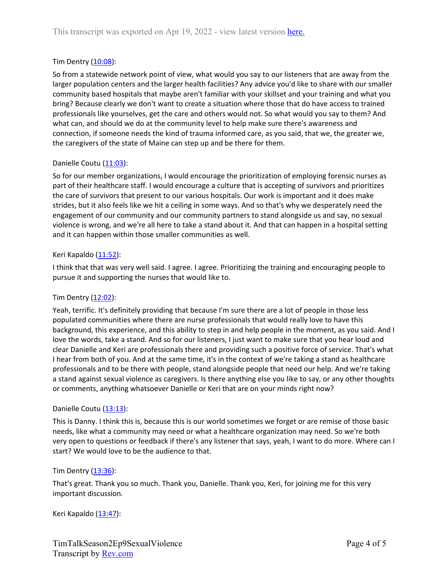# Tim Dentry ([10:08\)](https://www.rev.com/transcript-editor/Edit?token=ZWR9LuhLhyB7gqjZQWcjbVh1jTzscMMuupUHGd6k-Z4KDDXyyaKq6DotlEN3itC-2JpjQsa5JAVIYa4fPcK4A4riRHw&loadFrom=DocumentDeeplink&ts=608.65):

So from a statewide network point of view, what would you say to our listeners that are away from the larger population centers and the larger health facilities? Any advice you'd like to share with our smaller community based hospitals that maybe aren't familiar with your skillset and your training and what you bring? Because clearly we don't want to create a situation where those that do have access to trained professionals like yourselves, get the care and others would not. So what would you say to them? And what can, and should we do at the community level to help make sure there's awareness and connection, if someone needs the kind of trauma informed care, as you said, that we, the greater we, the caregivers of the state of Maine can step up and be there for them.

## Danielle Coutu ([11:03\)](https://www.rev.com/transcript-editor/Edit?token=Opb4yxJpNnxLSz32i0-NPvD5-9B4KWASGMAzAa8iYpzGMixQfk5sK1Xkj4Sj8D5qGsHc5auzzi-ryiE5xF7KMWLiIRo&loadFrom=DocumentDeeplink&ts=663.36):

So for our member organizations, I would encourage the prioritization of employing forensic nurses as part of their healthcare staff. I would encourage a culture that is accepting of survivors and prioritizes the care of survivors that present to our various hospitals. Our work is important and it does make strides, but it also feels like we hit a ceiling in some ways. And so that's why we desperately need the engagement of our community and our community partners to stand alongside us and say, no sexual violence is wrong, and we're all here to take a stand about it. And that can happen in a hospital setting and it can happen within those smaller communities as well.

## Keri Kapaldo ([11:52](https://www.rev.com/transcript-editor/Edit?token=1eezn8sl6dKrCAfAy4vefuzW2mDhTpiGcfQ63Fly2CkpZ7c0bQby44LUhudvTRq-X9EGPOvB1ML32qZ1Gk2u2WoytcU&loadFrom=DocumentDeeplink&ts=712.8)):

I think that that was very well said. I agree. I agree. Prioritizing the training and encouraging people to pursue it and supporting the nurses that would like to.

## Tim Dentry  $(12:02)$  $(12:02)$ :

Yeah, terrific. It's definitely providing that because I'm sure there are a lot of people in those less populated communities where there are nurse professionals that would really love to have this background, this experience, and this ability to step in and help people in the moment, as you said. And I love the words, take a stand. And so for our listeners, I just want to make sure that you hear loud and clear Danielle and Keri are professionals there and providing such a positive force of service. That's what I hear from both of you. And at the same time, it's in the context of we're taking a stand as healthcare professionals and to be there with people, stand alongside people that need our help. And we're taking a stand against sexual violence as caregivers. Is there anything else you like to say, or any other thoughts or comments, anything whatsoever Danielle or Keri that are on your minds right now?

## Danielle Coutu ([13:13\)](https://www.rev.com/transcript-editor/Edit?token=EDvZtTHxffmcuK_eVX4SeCbPtZo4LUk4ccoU4_2iBgek-5aR0-2xLF4SJ7bEkTlAICxOPRC54DV4Veq9EaCqtZrIJhE&loadFrom=DocumentDeeplink&ts=793.22):

This is Danny. I think this is, because this is our world sometimes we forget or are remise of those basic needs, like what a community may need or what a healthcare organization may need. So we're both very open to questions or feedback if there's any listener that says, yeah, I want to do more. Where can I start? We would love to be the audience to that.

#### Tim Dentry  $(13:36)$  $(13:36)$ :

That's great. Thank you so much. Thank you, Danielle. Thank you, Keri, for joining me for this very important discussion.

Keri Kapaldo ([13:47](https://www.rev.com/transcript-editor/Edit?token=euBQ3MM-0eJ0xwFEL13VEgIafWbVC5aBTYsuMeQQqeuKm39eYj2-uZuBzOXxi8VzGNI2iUzr4D2MWgOqrFkUCHTGiLo&loadFrom=DocumentDeeplink&ts=827.07)):